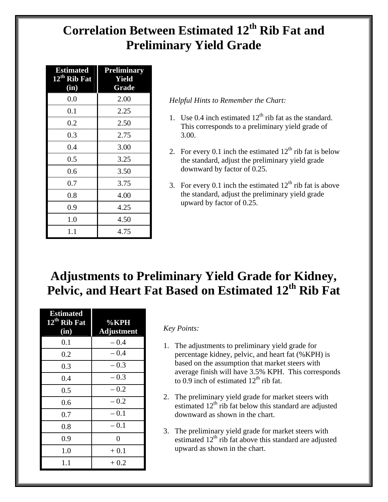# **Correlation Between Estimated 12th Rib Fat and Preliminary Yield Grade**

| <b>Estimated</b><br>$12^{\text{th}}$ Rib Fat<br>(in) | <b>Preliminary</b><br>Yield<br>Grade |  |  |  |
|------------------------------------------------------|--------------------------------------|--|--|--|
| 0.0                                                  | 2.00                                 |  |  |  |
| 0.1                                                  | 2.25                                 |  |  |  |
| 0.2                                                  | 2.50                                 |  |  |  |
| 0.3                                                  | 2.75                                 |  |  |  |
| 0.4                                                  | 3.00                                 |  |  |  |
| 0.5                                                  | 3.25                                 |  |  |  |
| 0.6                                                  | 3.50                                 |  |  |  |
| 0.7                                                  | 3.75                                 |  |  |  |
| 0.8                                                  | 4.00                                 |  |  |  |
| 0.9                                                  | 4.25                                 |  |  |  |
| 1.0                                                  | 4.50                                 |  |  |  |
| 1.1                                                  | 4.75                                 |  |  |  |

### *Helpful Hints to Remember the Chart:*

- 1. Use 0.4 inch estimated  $12<sup>th</sup>$  rib fat as the standard. This corresponds to a preliminary yield grade of 3.00.
- 2. For every 0.1 inch the estimated  $12<sup>th</sup>$  rib fat is below the standard, adjust the preliminary yield grade downward by factor of 0.25.
- 3. For every 0.1 inch the estimated  $12<sup>th</sup>$  rib fat is above the standard, adjust the preliminary yield grade upward by factor of 0.25.

# **Adjustments to Preliminary Yield Grade for Kidney, Pelvic, and Heart Fat Based on Estimated 12th Rib Fat**

| <b>Estimated</b><br>12 <sup>th</sup> Rib Fat<br>(in) | $\% KPH$<br><b>Adjustment</b> |
|------------------------------------------------------|-------------------------------|
| 0.1                                                  | $-0.4$                        |
| 0.2                                                  | $-0.4$                        |
| 0.3                                                  | $-0.3$                        |
| 0.4                                                  | $-0.3$                        |
| 0.5                                                  | $-0.2$                        |
| 0.6                                                  | $-0.2$                        |
| 0.7                                                  | $-0.1$                        |
| 0.8                                                  | $-0.1$                        |
| 0.9                                                  | $\overline{0}$                |
| 1.0                                                  | $+0.1$                        |
| $1.1\,$                                              | $+0.2$                        |

### *Key Points:*

- 1. The adjustments to preliminary yield grade for percentage kidney, pelvic, and heart fat (%KPH) is based on the assumption that market steers with average finish will have 3.5% KPH. This corresponds to 0.9 inch of estimated  $12<sup>th</sup>$  rib fat.
- 2. The preliminary yield grade for market steers with estimated  $12<sup>th</sup>$  rib fat below this standard are adjusted downward as shown in the chart.
- 3. The preliminary yield grade for market steers with estimated  $12<sup>th</sup>$  rib fat above this standard are adjusted upward as shown in the chart.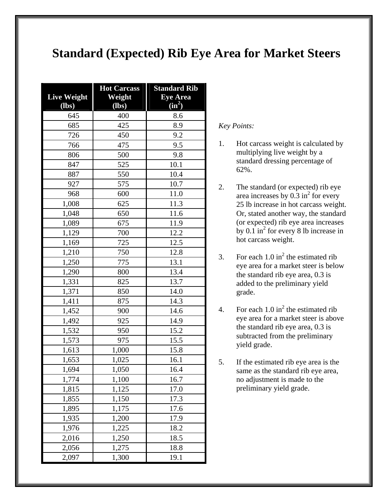## **Standard (Expected) Rib Eye Area for Market Steers**

|                    | <b>Hot Carcass</b> | <b>Standard Rib</b> |  |  |
|--------------------|--------------------|---------------------|--|--|
| <b>Live Weight</b> | Weight             | <b>Eye Area</b>     |  |  |
| $(lbs)$            | (lbs)              | $(in^2)$            |  |  |
| 645                | 400                | 8.6                 |  |  |
| 685                | 425                | 8.9                 |  |  |
| 726                | 450                | 9.2                 |  |  |
| 766                | 475                | 9.5                 |  |  |
| 806                | 500                | 9.8                 |  |  |
| 847                | 525                | 10.1                |  |  |
| 887                | 550                | 10.4                |  |  |
| 927                | 575                | 10.7                |  |  |
| 968                | 600                | 11.0                |  |  |
| 1,008              | 625                | 11.3                |  |  |
| 1,048              | 650                | 11.6                |  |  |
| 1,089              | 675                | 11.9                |  |  |
| 1,129              | 700                | 12.2                |  |  |
| 1,169              | 725                | 12.5                |  |  |
| 1,210              | 750                | 12.8                |  |  |
| 1,250              | 775                | 13.1                |  |  |
| 1,290              | 800                | 13.4                |  |  |
| 1,331              | 825                | 13.7                |  |  |
| 1,371              | 850                | 14.0                |  |  |
| 1,411              | 875                | 14.3                |  |  |
| 1,452              | 900                | 14.6                |  |  |
| 1,492              | 925                | 14.9                |  |  |
| 1,532              | 950                | 15.2                |  |  |
| 1,573              | 975                | 15.5                |  |  |
| 1,613              | 1,000              | 15.8                |  |  |
| 1,653              | 1,025              | 16.1                |  |  |
| 1,694              | 1,050              | 16.4                |  |  |
| 1,774              | 1,100              | 16.7                |  |  |
| 1,815              | 1,125              | 17.0                |  |  |
| 1,855              | 1,150              | 17.3                |  |  |
| 1,895              | 1,175              | 17.6                |  |  |
| 1,935              | 1,200              | 17.9                |  |  |
| 1,976              | 1,225              | 18.2                |  |  |
| 2,016              | 1,250              | 18.5                |  |  |
| 2,056              | 1,275              | 18.8                |  |  |
| 2,097              | 1,300              | 19.1                |  |  |

*Key Points:* 

- 1. Hot carcass weight is calculated by multiplying live weight by a standard dressing percentage of 62%.
- 2. The standard (or expected) rib eye area increases by  $0.\overline{3}$  in<sup>2</sup> for every 25 lb increase in hot carcass weight. Or, stated another way, the standard (or expected) rib eye area increases by  $0.1 \text{ in}^2$  for every 8 lb increase in hot carcass weight.
- 3. For each  $1.0 \text{ in}^2$  the estimated rib eye area for a market steer is below the standard rib eye area, 0.3 is added to the preliminary yield grade.
- 4. For each  $1.0 \text{ in}^2$  the estimated rib eye area for a market steer is above the standard rib eye area, 0.3 is subtracted from the preliminary yield grade.
- 5. If the estimated rib eye area is the same as the standard rib eye area, no adjustment is made to the preliminary yield grade.